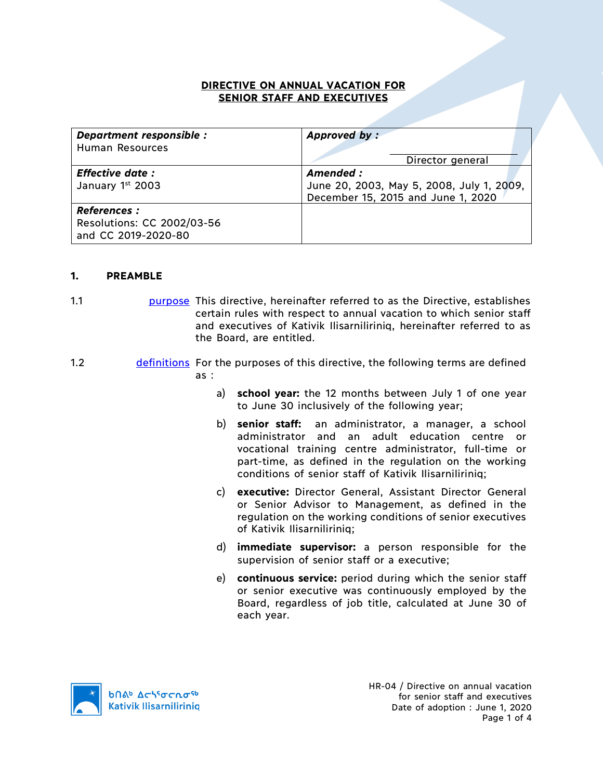## **DIRECTIVE ON ANNUAL VACATION FOR SENIOR STAFF AND EXECUTIVES**

| Department responsible :<br>Human Resources      | Approved by:                                                                    |
|--------------------------------------------------|---------------------------------------------------------------------------------|
|                                                  | Director general                                                                |
| <b>Effective date:</b>                           | Amended:                                                                        |
| January 1st 2003                                 | June 20, 2003, May 5, 2008, July 1, 2009,<br>December 15, 2015 and June 1, 2020 |
| <b>References:</b><br>Resolutions: CC 2002/03-56 |                                                                                 |
| and CC 2019-2020-80                              |                                                                                 |

## **1. PREAMBLE**

- 1.1 **purpose** This directive, hereinafter referred to as the Directive, establishes certain rules with respect to annual vacation to which senior staff and executives of Kativik Ilisarniliriniq, hereinafter referred to as the Board, are entitled.
- 1.2 definitions For the purposes of this directive, the following terms are defined as :
	- a) **school year:** the 12 months between July 1 of one year to June 30 inclusively of the following year;
	- b) **senior staff:** an administrator, a manager, a school administrator and an adult education centre or vocational training centre administrator, full-time or part-time, as defined in the regulation on the working conditions of senior staff of Kativik Ilisarniliriniq;
	- c) **executive:** Director General, Assistant Director General or Senior Advisor to Management, as defined in the regulation on the working conditions of senior executives of Kativik Ilisarniliriniq;
	- d) **immediate supervisor:** a person responsible for the supervision of senior staff or a executive;
	- e) **continuous service:** period during which the senior staff or senior executive was continuously employed by the Board, regardless of job title, calculated at June 30 of each year.

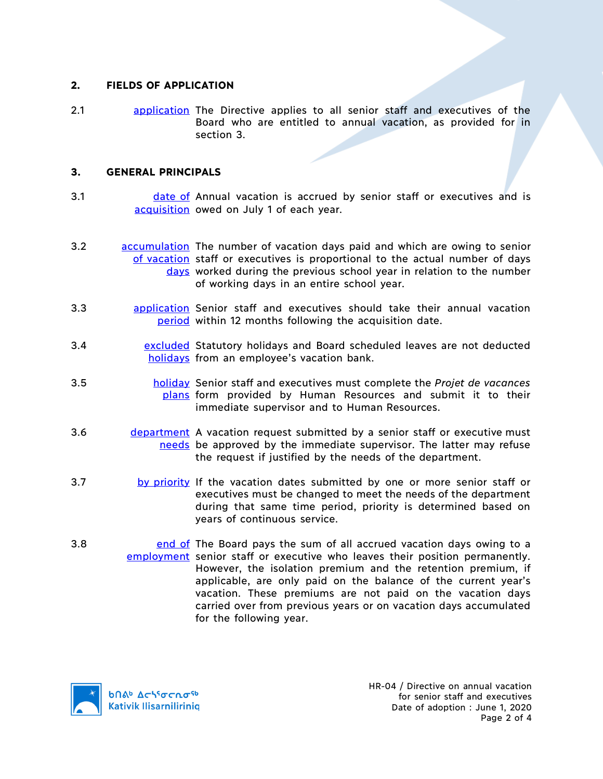### **2. FIELDS OF APPLICATION**

2.1 application The Directive applies to all senior staff and executives of the Board who are entitled to annual vacation, as provided for in section 3.

## **3. GENERAL PRINCIPALS**

- 3.1 **date of Annual vacation is accrued by senior staff or executives and is** acquisition owed on July 1 of each year.
- 3.2 **accumulation** The number of vacation days paid and which are owing to senior of vacation staff or executives is proportional to the actual number of days days worked during the previous school year in relation to the number of working days in an entire school year.
- 3.3 **building application** Senior staff and executives should take their annual vacation period within 12 months following the acquisition date.
- 3.4 **Excluded** Statutory holidays and Board scheduled leaves are not deducted holidays from an employee's vacation bank.
- 3.5 holiday Senior staff and executives must complete the *Projet de vacances*  plans form provided by Human Resources and submit it to their immediate supervisor and to Human Resources.
- 3.6 department A vacation request submitted by a senior staff or executive must needs be approved by the immediate supervisor. The latter may refuse the request if justified by the needs of the department.
- 3.7 by priority If the vacation dates submitted by one or more senior staff or executives must be changed to meet the needs of the department during that same time period, priority is determined based on years of continuous service.
- 3.8 **end of The Board pays the sum of all accrued vacation days owing to a** employment senior staff or executive who leaves their position permanently. However, the isolation premium and the retention premium, if applicable, are only paid on the balance of the current year's vacation. These premiums are not paid on the vacation days carried over from previous years or on vacation days accumulated for the following year.

**b**በል<sup>b</sup> Δςιτσς το <sup>τρ</sup> **Kativik Ilisarniliriniq**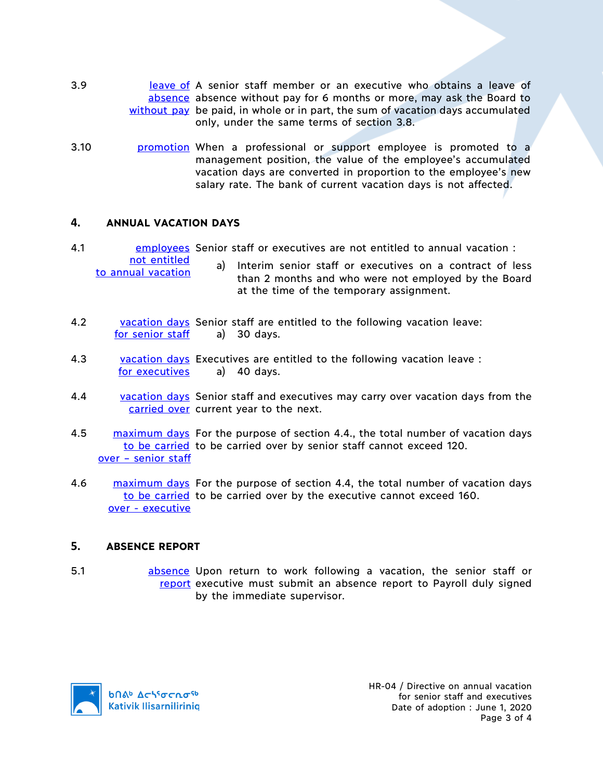- 3.9 **leave of A senior staff member or an executive who obtains a leave of** absence absence without pay for 6 months or more, may ask the Board to without pay be paid, in whole or in part, the sum of vacation days accumulated only, under the same terms of section 3.8.
- 3.10 promotion When a professional or support employee is promoted to a management position, the value of the employee's accumulated vacation days are converted in proportion to the employee's new salary rate. The bank of current vacation days is not affected.

## **4. ANNUAL VACATION DAYS**

4.1 **EMPLOYER SENIOT STAFF OF EXECUTIVES ARE NOTE THANK** THE MESS CANNER SENION : not entitled

```
to annual vacation
```
- a) Interim senior staff or executives on a contract of less than 2 months and who were not employed by the Board at the time of the temporary assignment.
- 4.2 vacation days Senior staff are entitled to the following vacation leave: for senior staff a) 30 days.
- 4.3 vacation days Executives are entitled to the following vacation leave: for executives a) 40 days.
- 4.4 vacation days Senior staff and executives may carry over vacation days from the carried over current year to the next.
- 4.5 maximum days For the purpose of section 4.4., the total number of vacation days to be carried to be carried over by senior staff cannot exceed 120. over – senior staff
- 4.6 maximum days For the purpose of section 4.4, the total number of vacation days to be carried to be carried over by the executive cannot exceed 160. over - executive

#### **5. ABSENCE REPORT**

5.1 **business** absence Upon return to work following a vacation, the senior staff or report executive must submit an absence report to Payroll duly signed by the immediate supervisor.